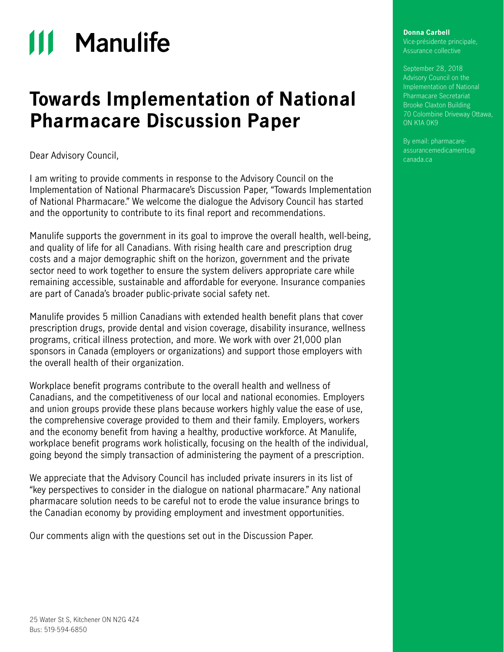# **111 Manulife**

## **Towards Implementation of National Pharmacare Discussion Paper**

Dear Advisory Council,

I am writing to provide comments in response to the Advisory Council on the Implementation of National Pharmacare's Discussion Paper, "Towards Implementation of National Pharmacare." We welcome the dialogue the Advisory Council has started and the opportunity to contribute to its final report and recommendations.

Manulife supports the government in its goal to improve the overall health, well-being, and quality of life for all Canadians. With rising health care and prescription drug costs and a major demographic shift on the horizon, government and the private sector need to work together to ensure the system delivers appropriate care while remaining accessible, sustainable and affordable for everyone. Insurance companies are part of Canada's broader public-private social safety net.

Manulife provides 5 million Canadians with extended health benefit plans that cover prescription drugs, provide dental and vision coverage, disability insurance, wellness programs, critical illness protection, and more. We work with over 21,000 plan sponsors in Canada (employers or organizations) and support those employers with the overall health of their organization.

Workplace benefit programs contribute to the overall health and wellness of Canadians, and the competitiveness of our local and national economies. Employers and union groups provide these plans because workers highly value the ease of use, the comprehensive coverage provided to them and their family. Employers, workers and the economy benefit from having a healthy, productive workforce. At Manulife, workplace benefit programs work holistically, focusing on the health of the individual, going beyond the simply transaction of administering the payment of a prescription.

We appreciate that the Advisory Council has included private insurers in its list of "key perspectives to consider in the dialogue on national pharmacare." Any national pharmacare solution needs to be careful not to erode the value insurance brings to the Canadian economy by providing employment and investment opportunities.

Our comments align with the questions set out in the Discussion Paper.

#### **Donna Carbell**

Vice-présidente principale, Assurance collective

September 28, 2018 Advisory Council on the Implementation of National Pharmacare Secretariat Brooke Claxton Building 70 Colombine Driveway Ottawa, ON K1A 0K9

By email: pharmacareassurancemedicaments@ canada.ca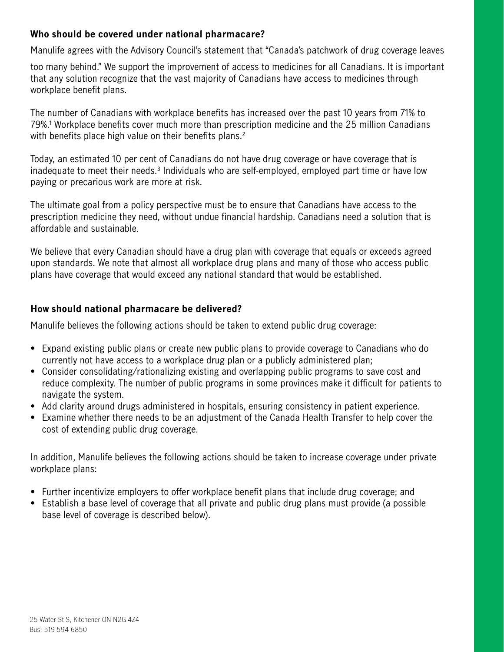### **Who should be covered under national pharmacare?**

Manulife agrees with the Advisory Council's statement that "Canada's patchwork of drug coverage leaves

too many behind." We support the improvement of access to medicines for all Canadians. It is important that any solution recognize that the vast majority of Canadians have access to medicines through workplace benefit plans.

The number of Canadians with workplace benefits has increased over the past 10 years from 71% to 79%.1 Workplace benefits cover much more than prescription medicine and the 25 million Canadians with benefits place high value on their benefits plans.<sup>2</sup>

Today, an estimated 10 per cent of Canadians do not have drug coverage or have coverage that is inadequate to meet their needs.<sup>3</sup> Individuals who are self-employed, employed part time or have low paying or precarious work are more at risk.

The ultimate goal from a policy perspective must be to ensure that Canadians have access to the prescription medicine they need, without undue financial hardship. Canadians need a solution that is affordable and sustainable.

We believe that every Canadian should have a drug plan with coverage that equals or exceeds agreed upon standards. We note that almost all workplace drug plans and many of those who access public plans have coverage that would exceed any national standard that would be established.

#### **How should national pharmacare be delivered?**

Manulife believes the following actions should be taken to extend public drug coverage:

- Expand existing public plans or create new public plans to provide coverage to Canadians who do currently not have access to a workplace drug plan or a publicly administered plan;
- Consider consolidating/rationalizing existing and overlapping public programs to save cost and reduce complexity. The number of public programs in some provinces make it difficult for patients to navigate the system.
- Add clarity around drugs administered in hospitals, ensuring consistency in patient experience.
- Examine whether there needs to be an adjustment of the Canada Health Transfer to help cover the cost of extending public drug coverage.

In addition, Manulife believes the following actions should be taken to increase coverage under private workplace plans:

- Further incentivize employers to offer workplace benefit plans that include drug coverage; and
- Establish a base level of coverage that all private and public drug plans must provide (a possible base level of coverage is described below).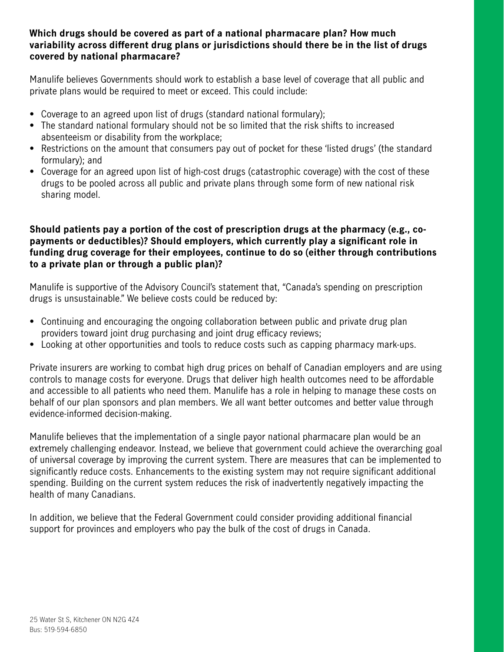#### **Which drugs should be covered as part of a national pharmacare plan? How much variability across different drug plans or jurisdictions should there be in the list of drugs covered by national pharmacare?**

Manulife believes Governments should work to establish a base level of coverage that all public and private plans would be required to meet or exceed. This could include:

- Coverage to an agreed upon list of drugs (standard national formulary);
- The standard national formulary should not be so limited that the risk shifts to increased absenteeism or disability from the workplace;
- Restrictions on the amount that consumers pay out of pocket for these 'listed drugs' (the standard formulary); and
- Coverage for an agreed upon list of high-cost drugs (catastrophic coverage) with the cost of these drugs to be pooled across all public and private plans through some form of new national risk sharing model.

#### **Should patients pay a portion of the cost of prescription drugs at the pharmacy (e.g., copayments or deductibles)? Should employers, which currently play a significant role in funding drug coverage for their employees, continue to do so (either through contributions to a private plan or through a public plan)?**

Manulife is supportive of the Advisory Council's statement that, "Canada's spending on prescription drugs is unsustainable." We believe costs could be reduced by:

- Continuing and encouraging the ongoing collaboration between public and private drug plan providers toward joint drug purchasing and joint drug efficacy reviews;
- Looking at other opportunities and tools to reduce costs such as capping pharmacy mark-ups.

Private insurers are working to combat high drug prices on behalf of Canadian employers and are using controls to manage costs for everyone. Drugs that deliver high health outcomes need to be affordable and accessible to all patients who need them. Manulife has a role in helping to manage these costs on behalf of our plan sponsors and plan members. We all want better outcomes and better value through evidence-informed decision-making.

Manulife believes that the implementation of a single payor national pharmacare plan would be an extremely challenging endeavor. Instead, we believe that government could achieve the overarching goal of universal coverage by improving the current system. There are measures that can be implemented to significantly reduce costs. Enhancements to the existing system may not require significant additional spending. Building on the current system reduces the risk of inadvertently negatively impacting the health of many Canadians.

In addition, we believe that the Federal Government could consider providing additional financial support for provinces and employers who pay the bulk of the cost of drugs in Canada.